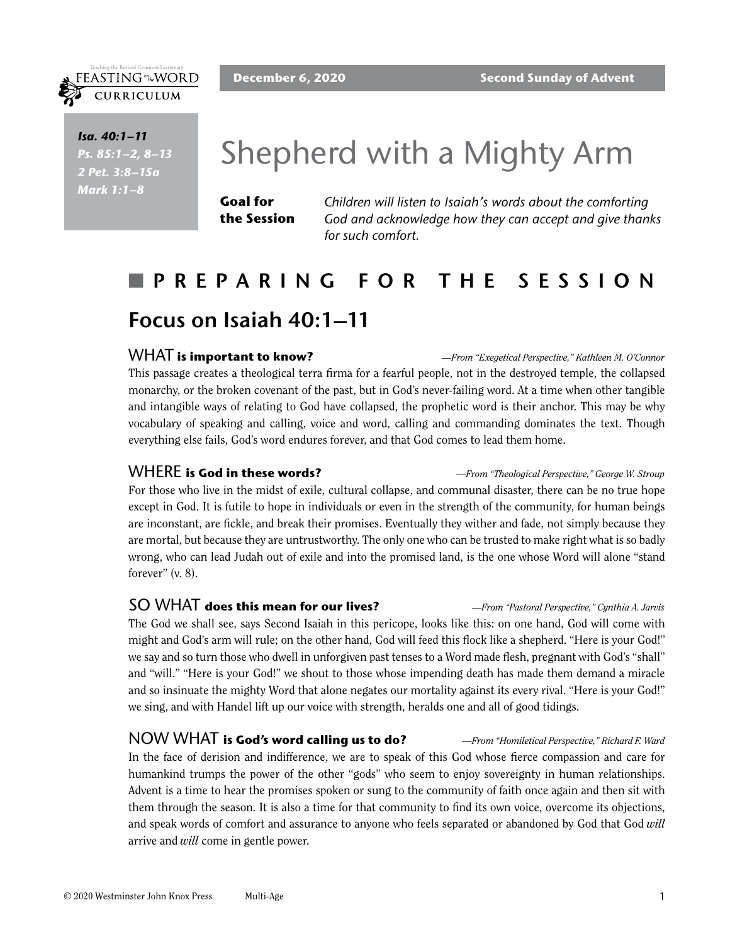*Isa. 40:1–11 Ps. 85:1–2, 8–13 2 Pet. 3:8–15a Mark 1:1–8*

FEASTING<sup>on</sup>the WORD CURRICULUM

# Shepherd with a Mighty Arm

**Goal for the Session** *Children will listen to Isaiah's words about the comforting God and acknowledge how they can accept and give thanks for such comfort.*

# n **PREPARING FOR THE SESSION Focus on Isaiah 40:1–11**

#### WHAT **is important to know?** *—From "Exegetical Perspective," Kathleen M. O'Connor*

This passage creates a theological terra firma for a fearful people, not in the destroyed temple, the collapsed monarchy, or the broken covenant of the past, but in God's never-failing word. At a time when other tangible and intangible ways of relating to God have collapsed, the prophetic word is their anchor. This may be why vocabulary of speaking and calling, voice and word, calling and commanding dominates the text. Though everything else fails, God's word endures forever, and that God comes to lead them home.

WHERE **is God in these words?** *—From "Theological Perspective," George W. Stroup*

For those who live in the midst of exile, cultural collapse, and communal disaster, there can be no true hope except in God. It is futile to hope in individuals or even in the strength of the community, for human beings are inconstant, are fickle, and break their promises. Eventually they wither and fade, not simply because they are mortal, but because they are untrustworthy. The only one who can be trusted to make right what is so badly wrong, who can lead Judah out of exile and into the promised land, is the one whose Word will alone "stand forever" (v. 8).

#### SO WHAT **does this mean for our lives?** *—From "Pastoral Perspective," Cynthia A. Jarvis*

The God we shall see, says Second Isaiah in this pericope, looks like this: on one hand, God will come with might and God's arm will rule; on the other hand, God will feed this flock like a shepherd. "Here is your God!" we say and so turn those who dwell in unforgiven past tenses to a Word made flesh, pregnant with God's "shall" and "will." "Here is your God!" we shout to those whose impending death has made them demand a miracle and so insinuate the mighty Word that alone negates our mortality against its every rival. "Here is your God!" we sing, and with Handel lift up our voice with strength, heralds one and all of good tidings.

NOW WHAT **is God's word calling us to do?** *—From "Homiletical Perspective," Richard F. Ward* In the face of derision and indifference, we are to speak of this God whose fierce compassion and care for humankind trumps the power of the other "gods" who seem to enjoy sovereignty in human relationships. Advent is a time to hear the promises spoken or sung to the community of faith once again and then sit with them through the season. It is also a time for that community to find its own voice, overcome its objections, and speak words of comfort and assurance to anyone who feels separated or abandoned by God that God *will* arrive and *will* come in gentle power.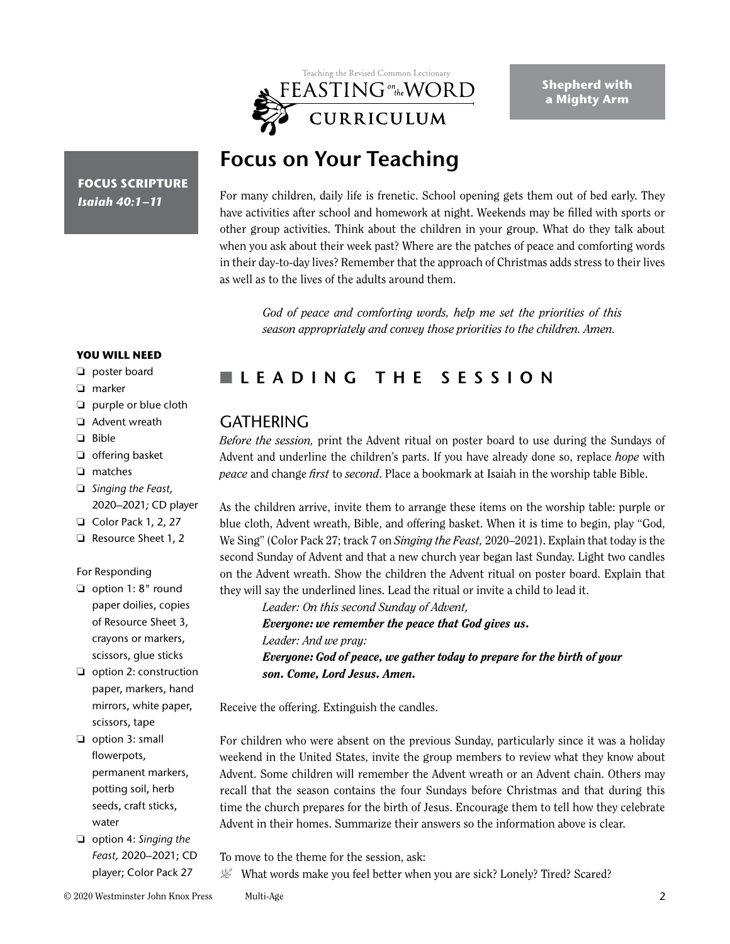

**Shepherd with a Mighty Arm**

# **Focus on Your Teaching**

**FOCUS SCRIPTURE** *Isaiah 40:1–11*

For many children, daily life is frenetic. School opening gets them out of bed early. They have activities after school and homework at night. Weekends may be filled with sports or other group activities. Think about the children in your group. What do they talk about when you ask about their week past? Where are the patches of peace and comforting words in their day-to-day lives? Remember that the approach of Christmas adds stress to their lives as well as to the lives of the adults around them.

*God of peace and comforting words, help me set the priorities of this season appropriately and convey those priorities to the children. Amen.*

#### **YOU WILL NEED**

- ❏ poster board
- ❏ marker
- ❏ purple or blue cloth
- ❏ Advent wreath
- ❏ Bible
- ❏ offering basket
- ❏ matches
- ❏ *Singing the Feast,* 2020–2021*;* CD player
- ❏ Color Pack 1, 2, 27
- ❏ Resource Sheet 1, 2

#### For Responding

- ❏ option 1: 8" round paper doilies, copies of Resource Sheet 3, crayons or markers, scissors, glue sticks
- ❏ option 2: construction paper, markers, hand mirrors, white paper, scissors, tape
- ❏ option 3: small flowerpots, permanent markers, potting soil, herb seeds, craft sticks, water
- ❏ option 4: *Singing the Feast,* 2020–2021; CD player; Color Pack 27

# n **LEADING THE SESSION**

## **GATHERING**

*Before the session,* print the Advent ritual on poster board to use during the Sundays of Advent and underline the children's parts. If you have already done so, replace *hope* with *peace* and change *first* to *second*. Place a bookmark at Isaiah in the worship table Bible.

As the children arrive, invite them to arrange these items on the worship table: purple or blue cloth, Advent wreath, Bible, and offering basket. When it is time to begin, play "God, We Sing" (Color Pack 27; track 7 on *Singing the Feast,* 2020–2021). Explain that today is the second Sunday of Advent and that a new church year began last Sunday. Light two candles on the Advent wreath. Show the children the Advent ritual on poster board. Explain that they will say the underlined lines. Lead the ritual or invite a child to lead it.

*Leader: On this second Sunday of Advent, Everyone: we remember the peace that God gives us. Leader: And we pray: Everyone: God of peace, we gather today to prepare for the birth of your son. Come, Lord Jesus. Amen.*

Receive the offering. Extinguish the candles.

For children who were absent on the previous Sunday, particularly since it was a holiday weekend in the United States, invite the group members to review what they know about Advent. Some children will remember the Advent wreath or an Advent chain. Others may recall that the season contains the four Sundays before Christmas and that during this time the church prepares for the birth of Jesus. Encourage them to tell how they celebrate Advent in their homes. Summarize their answers so the information above is clear.

- To move to the theme for the session, ask:
- $\mathcal{L}$  What words make you feel better when you are sick? Lonely? Tired? Scared?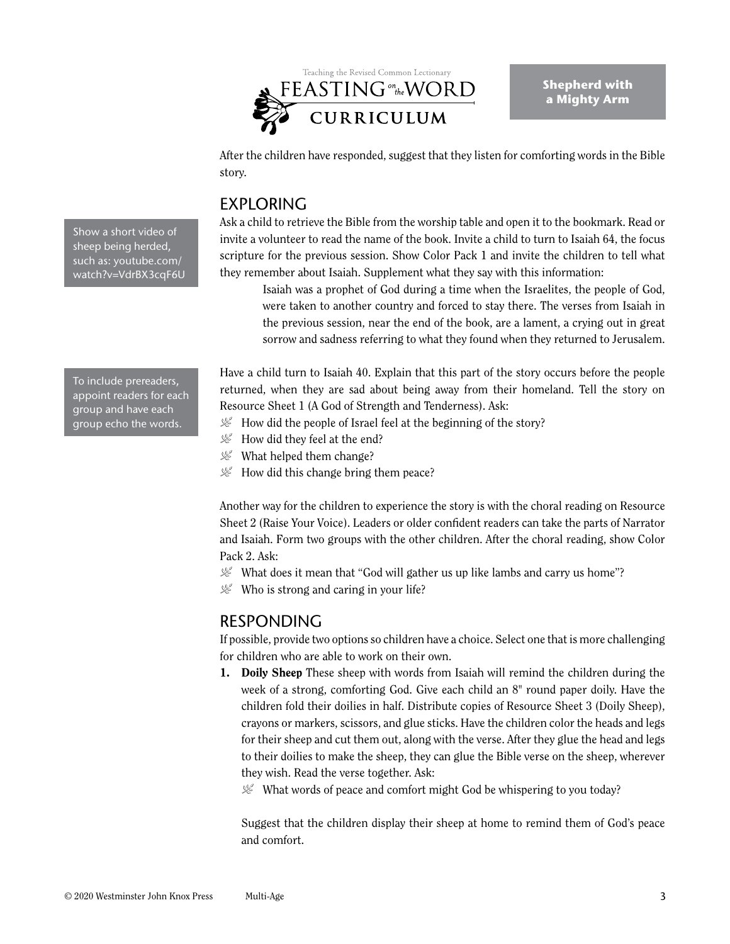

After the children have responded, suggest that they listen for comforting words in the Bible story.

# EXPLORING

Ask a child to retrieve the Bible from the worship table and open it to the bookmark. Read or invite a volunteer to read the name of the book. Invite a child to turn to Isaiah 64, the focus scripture for the previous session. Show Color Pack 1 and invite the children to tell what they remember about Isaiah. Supplement what they say with this information:

Isaiah was a prophet of God during a time when the Israelites, the people of God, were taken to another country and forced to stay there. The verses from Isaiah in the previous session, near the end of the book, are a lament, a crying out in great sorrow and sadness referring to what they found when they returned to Jerusalem.

Have a child turn to Isaiah 40. Explain that this part of the story occurs before the people returned, when they are sad about being away from their homeland. Tell the story on Resource Sheet 1 (A God of Strength and Tenderness). Ask:

- $\mathcal{L}$  How did the people of Israel feel at the beginning of the story?
- $\mathcal{L}$  How did they feel at the end?
- $\mathcal{L}$  What helped them change?
- $\mathcal{L}$  How did this change bring them peace?

Another way for the children to experience the story is with the choral reading on Resource Sheet 2 (Raise Your Voice). Leaders or older confident readers can take the parts of Narrator and Isaiah. Form two groups with the other children. After the choral reading, show Color Pack 2. Ask:

- $\mathcal{L}$  What does it mean that "God will gather us up like lambs and carry us home"?
- $\mathcal{L}$  Who is strong and caring in your life?

# RESPONDING

If possible, provide two options so children have a choice. Select one that is more challenging for children who are able to work on their own.

- 1. Doily Sheep These sheep with words from Isaiah will remind the children during the week of a strong, comforting God. Give each child an 8" round paper doily. Have the children fold their doilies in half. Distribute copies of Resource Sheet 3 (Doily Sheep), crayons or markers, scissors, and glue sticks. Have the children color the heads and legs for their sheep and cut them out, along with the verse. After they glue the head and legs to their doilies to make the sheep, they can glue the Bible verse on the sheep, wherever they wish. Read the verse together. Ask:
	- $\mathcal{L}$  What words of peace and comfort might God be whispering to you today?

Suggest that the children display their sheep at home to remind them of God's peace and comfort.

Show a short video of sheep being herded, such as: youtube.com/ watch?v=VdrBX3cqF6U

To include prereaders, appoint readers for each group and have each group echo the words.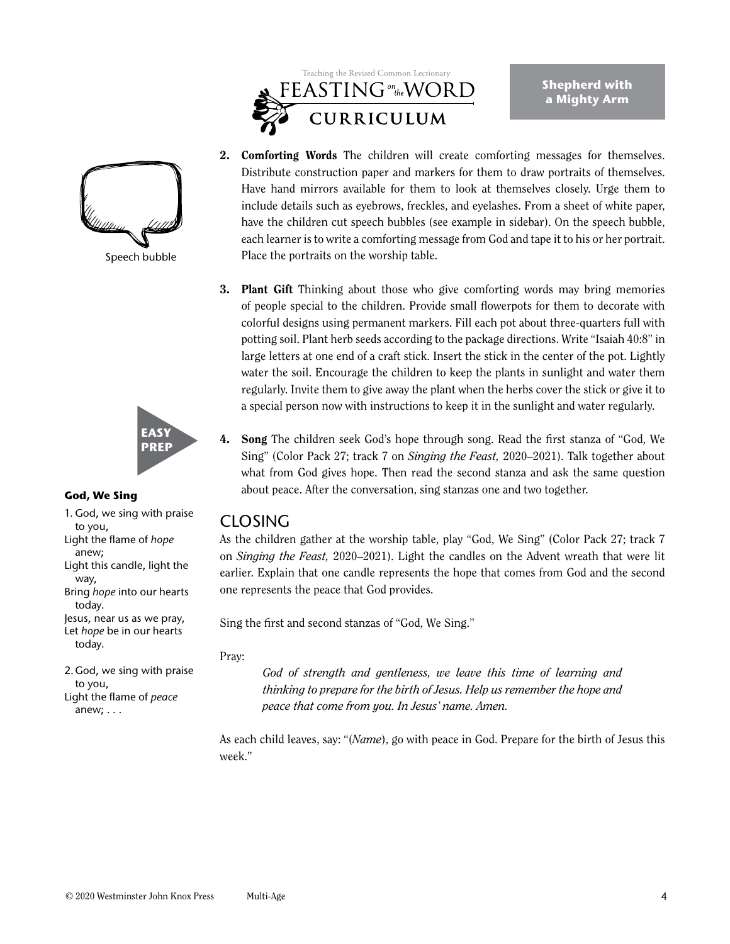

**Shepherd with a Mighty Arm**



Speech bubble



#### **God, We Sing**

1. God, we sing with praise to you, Light the flame of *hope* anew; Light this candle, light the way, Bring *hope* into our hearts today. Jesus, near us as we pray, Let *hope* be in our hearts today.

2.God, we sing with praise to you, Light the flame of *peace* anew; . . .

2. Comforting Words The children will create comforting messages for themselves. Distribute construction paper and markers for them to draw portraits of themselves. Have hand mirrors available for them to look at themselves closely. Urge them to include details such as eyebrows, freckles, and eyelashes. From a sheet of white paper, have the children cut speech bubbles (see example in sidebar). On the speech bubble, each learner is to write a comforting message from God and tape it to his or her portrait. Place the portraits on the worship table.

- 3. Plant Gift Thinking about those who give comforting words may bring memories of people special to the children. Provide small flowerpots for them to decorate with colorful designs using permanent markers. Fill each pot about three-quarters full with potting soil. Plant herb seeds according to the package directions. Write "Isaiah 40:8" in large letters at one end of a craft stick. Insert the stick in the center of the pot. Lightly water the soil. Encourage the children to keep the plants in sunlight and water them regularly. Invite them to give away the plant when the herbs cover the stick or give it to a special person now with instructions to keep it in the sunlight and water regularly.
- 4. Song The children seek God's hope through song. Read the first stanza of "God, We Sing" (Color Pack 27; track 7 on *Singing the Feast,* 2020–2021). Talk together about what from God gives hope. Then read the second stanza and ask the same question about peace. After the conversation, sing stanzas one and two together.

## **CLOSING**

As the children gather at the worship table, play "God, We Sing" (Color Pack 27; track 7 on *Singing the Feast,* 2020–2021). Light the candles on the Advent wreath that were lit earlier. Explain that one candle represents the hope that comes from God and the second one represents the peace that God provides.

Sing the first and second stanzas of "God, We Sing."

#### Pray:

*God of strength and gentleness, we leave this time of learning and thinking to prepare for the birth of Jesus. Help us remember the hope and peace that come from you. In Jesus' name. Amen.*

As each child leaves, say: "(*Name*), go with peace in God. Prepare for the birth of Jesus this week."

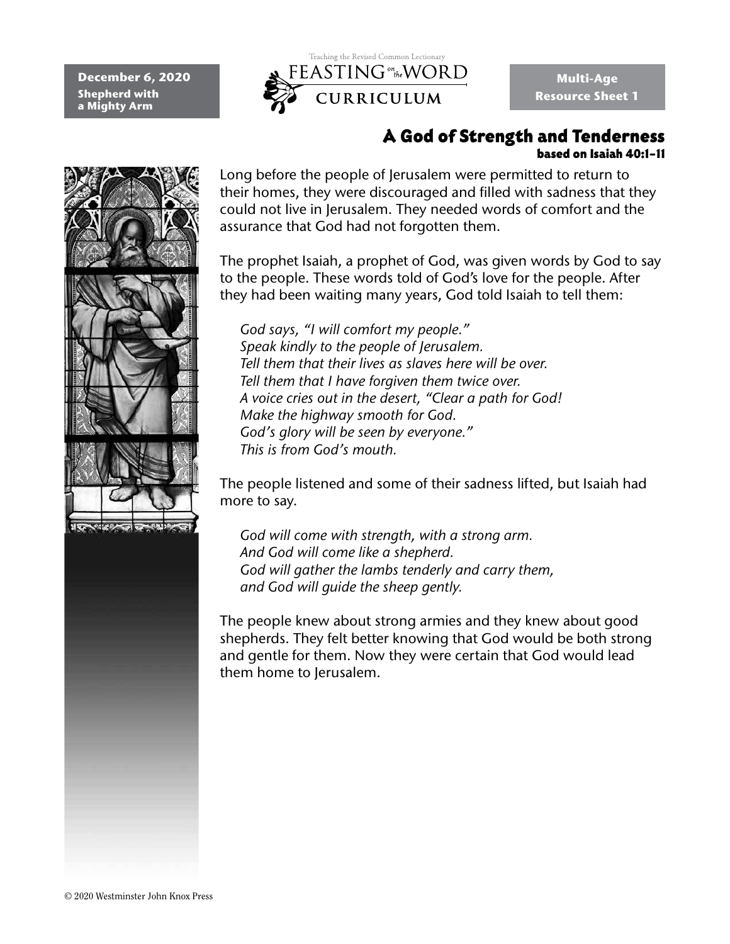**December 6, 2020 Shepherd with a Mighty Arm**



**Multi-Age Resource Sheet 1**

### A God of Strength and Tenderness based on Isaiah 40:1–11



Long before the people of Jerusalem were permitted to return to their homes, they were discouraged and filled with sadness that they could not live in Jerusalem. They needed words of comfort and the assurance that God had not forgotten them.

The prophet Isaiah, a prophet of God, was given words by God to say to the people. These words told of God's love for the people. After they had been waiting many years, God told Isaiah to tell them:

*God says, "I will comfort my people." Speak kindly to the people of Jerusalem. Tell them that their lives as slaves here will be over. Tell them that I have forgiven them twice over. A voice cries out in the desert, "Clear a path for God! Make the highway smooth for God. God's glory will be seen by everyone." This is from God's mouth.* 

The people listened and some of their sadness lifted, but Isaiah had more to say.

*God will come with strength, with a strong arm. And God will come like a shepherd. God will gather the lambs tenderly and carry them, and God will guide the sheep gently.* 

The people knew about strong armies and they knew about good shepherds. They felt better knowing that God would be both strong and gentle for them. Now they were certain that God would lead them home to Jerusalem.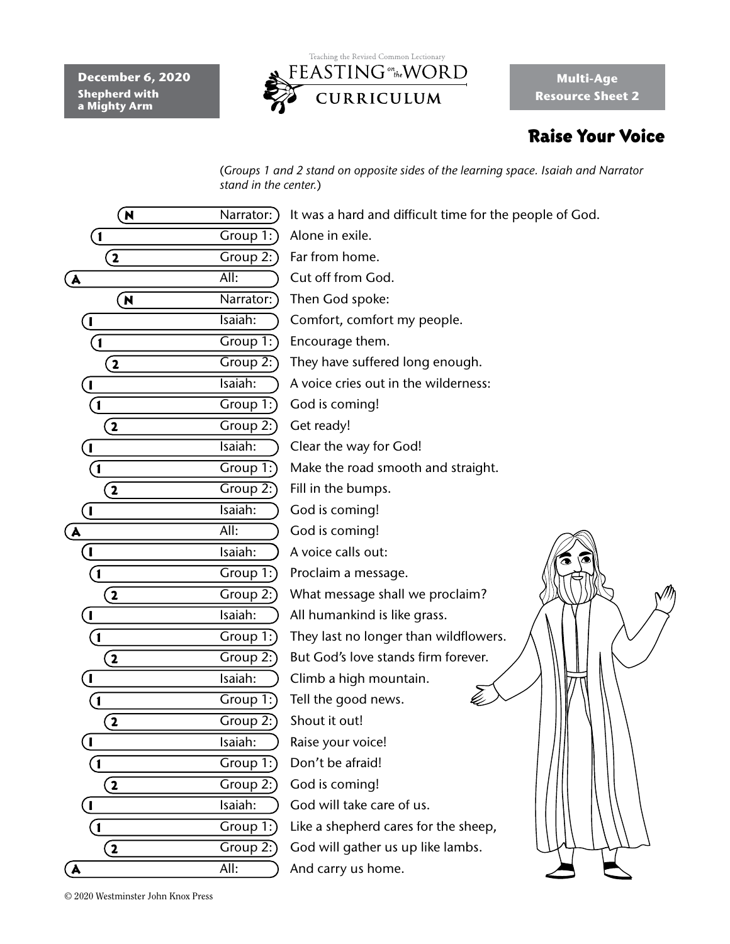**December 6, 2020 Shepherd with a Mighty Arm**



**Multi-Age Resource Sheet 2**

# Raise Your Voice

(*Groups 1 and 2 stand on opposite sides of the learning space. Isaiah and Narrator stand in the center.*)

| N                       | Narrator:         | It was a hard and difficult time for the people of God. |
|-------------------------|-------------------|---------------------------------------------------------|
| $\left( 1 \right)$      | Group 1:          | Alone in exile.                                         |
| $\mathbf{2}$            | Group 2:          | Far from home.                                          |
|                         | $\overline{All:}$ | Cut off from God.                                       |
| (A                      | Narrator:         | Then God spoke:                                         |
| $\overline{\mathbf{N}}$ |                   |                                                         |
| L                       | Isaiah:           | Comfort, comfort my people.                             |
| $\mathbf{I}$            | Group 1:          | Encourage them.                                         |
| $\overline{\mathbf{2}}$ | Group 2:          | They have suffered long enough.                         |
| $\blacksquare$          | Isaiah:           | A voice cries out in the wilderness:                    |
| $\mathbf{1}$            | Group $1$ :       | God is coming!                                          |
| $\mathbf{2}$            | Group 2:          | Get ready!                                              |
| $\mathbf{I}$            | Isaiah:           | Clear the way for God!                                  |
| $\boxed{1}$             | Group 1:          | Make the road smooth and straight.                      |
| $\mathbf{2}$            | Group 2:)         | Fill in the bumps.                                      |
| $\mathbf{I}$            | Isaiah:           | God is coming!                                          |
| $\mathbf{A}$            | All:              | God is coming!                                          |
| L                       | Isaiah:           | A voice calls out:                                      |
| $\mathbf{1}$            | Group $1$ :       | Proclaim a message.                                     |
| $\bf(2)$                | Group $2$ :       | What message shall we proclaim?                         |
| L                       | Isaiah:           | All humankind is like grass.                            |
| $\mathbf{1}$            | Group 1:          | They last no longer than wildflowers.                   |
| $\mathbf{2}$            | Group 2:)         | But God's love stands firm forever.                     |
| ı                       | Isaiah:           | Climb a high mountain.                                  |
| $\mathbf{1}$            | Group 1:          | Tell the good news.                                     |
| $\mathbf{2}$            | Group $2$ :       | Shout it out!                                           |
| $\mathbf I$             | Isaiah:           | Raise your voice!                                       |
| $\overline{\mathbf{1}}$ | Group $1$ :       | Don't be afraid!                                        |
| $\overline{\mathbf{2}}$ | Group $2$ :)      | God is coming!                                          |
| $\mathbf{I}$            | Isaiah:           | God will take care of us.                               |
| $\mathbf{1}$            | Group 1:          | Like a shepherd cares for the sheep,                    |
| $\mathbf{2}$            | Group 2:          | God will gather us up like lambs.                       |
| $\mathbf{A}$            | All:              | And carry us home.                                      |
|                         |                   |                                                         |

© 2020 Westminster John Knox Press